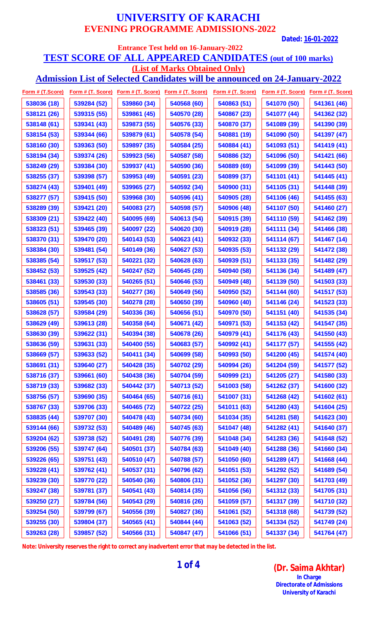**Dated: 16-01-2022**

### **Entrance Test held on 16-January-2022 TEST SCORE OF ALL APPEARED CANDIDATES (out of 100 marks) (List of Marks Obtained Only)**

**Admission List of Selected Candidates will be announced on 24-January-2022**

|             | Form # (T.Score) Form # (T. Score) Form # (T. Score) Form # (T. Score) |             |             |             | Form # (T. Score) Form # (T. Score) Form # (T. Score) |             |
|-------------|------------------------------------------------------------------------|-------------|-------------|-------------|-------------------------------------------------------|-------------|
| 538036 (18) | 539284 (52)                                                            | 539860 (34) | 540568 (60) | 540863 (51) | 541070 (50)                                           | 541361 (46) |
| 538121 (26) | 539315 (55)                                                            | 539861 (45) | 540570 (28) | 540867 (23) | 541077 (44)                                           | 541362 (32) |
| 538148 (61) | 539341 (43)                                                            | 539873 (55) | 540576 (33) | 540870 (37) | 541089 (39)                                           | 541390 (39) |
| 538154 (53) | 539344 (66)                                                            | 539879 (61) | 540578 (54) | 540881 (19) | 541090 (50)                                           | 541397 (47) |
| 538160 (30) | 539363 (50)                                                            | 539897 (35) | 540584 (25) | 540884 (41) | 541093 (51)                                           | 541419 (41) |
| 538194 (34) | 539374 (26)                                                            | 539923 (56) | 540587 (58) | 540886 (32) | 541096 (50)                                           | 541421 (66) |
| 538249 (29) | 539384 (30)                                                            | 539937 (41) | 540590 (36) | 540889 (69) | 541099 (39)                                           | 541443 (50) |
| 538255 (37) | 539398 (57)                                                            | 539953 (49) | 540591 (23) | 540899 (37) | 541101 (41)                                           | 541445 (41) |
| 538274 (43) | 539401 (49)                                                            | 539965 (27) | 540592 (34) | 540900 (31) | 541105 (31)                                           | 541448 (39) |
| 538277 (57) | 539415 (50)                                                            | 539968 (30) | 540596 (41) | 540905 (28) | 541106 (46)                                           | 541455 (63) |
| 538289 (39) | 539421 (20)                                                            | 540083 (27) | 540598 (57) | 540906 (48) | 541107 (50)                                           | 541460 (27) |
| 538309 (21) | 539422 (40)                                                            | 540095 (69) | 540613 (54) | 540915 (39) | 541110 (59)                                           | 541462 (39) |
| 538323 (51) | 539465 (39)                                                            | 540097 (22) | 540620 (30) | 540919 (28) | 541111 (34)                                           | 541466 (38) |
| 538370 (31) | 539470 (20)                                                            | 540143 (53) | 540623 (41) | 540932 (33) | 541114 (67)                                           | 541467 (14) |
| 538384 (30) | 539481 (54)                                                            | 540149 (36) | 540627 (53) | 540935 (53) | 541132 (29)                                           | 541472 (38) |
| 538385 (54) | 539517 (53)                                                            | 540221 (32) | 540628 (63) | 540939 (51) | 541133 (35)                                           | 541482 (29) |
| 538452 (53) | 539525 (42)                                                            | 540247 (52) | 540645 (28) | 540940 (58) | 541136 (34)                                           | 541489 (47) |
| 538461 (33) | 539530 (33)                                                            | 540265 (51) | 540646 (53) | 540949 (48) | 541139 (50)                                           | 541503 (33) |
| 538585 (36) | 539543 (33)                                                            | 540277 (36) | 540649 (56) | 540950 (52) | 541144 (60)                                           | 541517 (53) |
| 538605 (51) | 539545 (30)                                                            | 540278 (28) | 540650 (39) | 540960 (40) | 541146 (24)                                           | 541523 (33) |
| 538628 (57) | 539584 (29)                                                            | 540336 (36) | 540656 (51) | 540970 (50) | 541151 (40)                                           | 541535 (34) |
| 538629 (49) | 539613 (28)                                                            | 540358 (64) | 540671 (42) | 540971 (53) | 541153 (42)                                           | 541547 (35) |
| 538630 (39) | 539622 (31)                                                            | 540394 (38) | 540678 (26) | 540979 (41) | 541176 (43)                                           | 541550 (43) |
| 538636 (59) | 539631 (33)                                                            | 540400 (55) | 540683 (57) | 540992 (41) | 541177 (57)                                           | 541555 (42) |
| 538669 (57) | 539633 (52)                                                            | 540411 (34) | 540699 (58) | 540993 (50) | 541200 (45)                                           | 541574 (40) |
| 538691 (31) | 539640 (27)                                                            | 540428 (35) | 540702 (29) | 540994 (26) | 541204 (59)                                           | 541577 (52) |
| 538716 (37) | 539661 (60)                                                            | 540438 (36) | 540704 (59) | 540999 (21) | 541205 (27)                                           | 541580 (33) |
| 538719 (33) | 539682 (33)                                                            | 540442 (37) | 540713 (52) | 541003 (58) | 541262 (37)                                           | 541600 (32) |
| 538756 (57) | 539690 (35)                                                            | 540464 (65) | 540716 (61) | 541007 (31) | 541268 (42)                                           | 541602 (61) |
| 538767 (33) | 539706 (33)                                                            | 540465 (72) | 540722 (25) | 541011 (63) | 541280 (43)                                           | 541604 (25) |
| 538835 (44) | 539707 (30)                                                            | 540478 (43) | 540734 (60) | 541034 (35) | 541281 (58)                                           | 541623 (30) |
| 539144 (66) | 539732 (53)                                                            | 540489 (46) | 540745 (63) | 541047 (48) | 541282 (41)                                           | 541640 (37) |
| 539204 (62) | 539738 (52)                                                            | 540491 (28) | 540776 (39) | 541048 (34) | 541283 (36)                                           | 541648 (52) |
| 539206 (55) | 539747 (64)                                                            | 540501 (37) | 540784 (63) | 541049 (40) | 541288 (36)                                           | 541660 (34) |
| 539226 (65) | 539751 (43)                                                            | 540510 (47) | 540788 (57) | 541050 (60) | 541289 (47)                                           | 541668 (44) |
| 539228 (41) | 539762 (41)                                                            | 540537 (31) | 540796 (62) | 541051 (53) | 541292 (52)                                           | 541689 (54) |
| 539239 (30) | 539770 (22)                                                            | 540540 (36) | 540806 (31) | 541052 (36) | 541297 (30)                                           | 541703 (49) |
| 539247 (38) | 539781 (37)                                                            | 540541 (43) | 540814 (35) | 541056 (56) | 541312 (33)                                           | 541705 (31) |
| 539250 (27) | 539784 (56)                                                            | 540543 (29) | 540816 (26) | 541059 (57) | 541317 (39)                                           | 541710 (32) |
| 539254 (50) | 539799 (67)                                                            | 540556 (39) | 540827 (36) | 541061 (52) | 541318 (68)                                           | 541739 (52) |
| 539255 (30) | 539804 (37)                                                            | 540565 (41) | 540844 (44) | 541063 (52) | 541334 (52)                                           | 541749 (24) |
| 539263 (28) | 539857 (52)                                                            | 540566 (31) | 540847 (47) | 541066 (51) | 541337 (34)                                           | 541764 (47) |

**Note: University reserves the right to correct any inadvertent error that may be detected in the list.**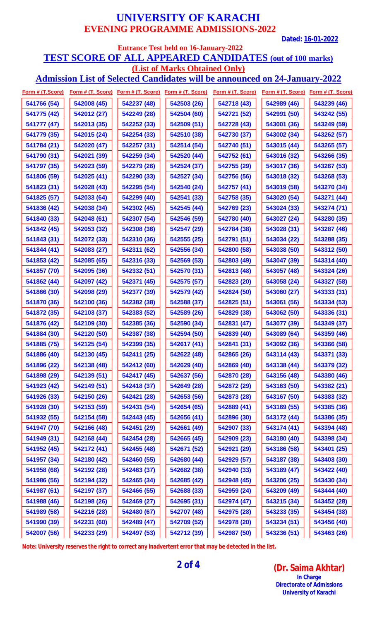**Dated: 16-01-2022**

### **Entrance Test held on 16-January-2022 TEST SCORE OF ALL APPEARED CANDIDATES (out of 100 marks) (List of Marks Obtained Only)**

**Admission List of Selected Candidates will be announced on 24-January-2022**

|             |             |             |             | <u> Form # (T.Score) Form # (T. Score) Form # (T. Score) Form # (T. Score) Form # (T. Score) Form # (T. Score) Form # (T. Score)</u> |             |             |
|-------------|-------------|-------------|-------------|--------------------------------------------------------------------------------------------------------------------------------------|-------------|-------------|
| 541766 (54) | 542008 (45) | 542237 (48) | 542503 (26) | 542718 (43)                                                                                                                          | 542989 (46) | 543239 (46) |
| 541775 (42) | 542012 (27) | 542249 (28) | 542504 (60) | 542721 (52)                                                                                                                          | 542991 (50) | 543242 (55) |
| 541777 (47) | 542013 (35) | 542252 (33) | 542509 (51) | 542728 (43)                                                                                                                          | 543001 (36) | 543249 (59) |
| 541779 (35) | 542015 (24) | 542254 (33) | 542510 (38) | 542730 (37)                                                                                                                          | 543002 (34) | 543262 (57) |
| 541784 (21) | 542020 (47) | 542257 (31) | 542514 (54) | 542740 (51)                                                                                                                          | 543015 (44) | 543265 (57) |
| 541790 (31) | 542021 (39) | 542259 (34) | 542520 (44) | 542752 (61)                                                                                                                          | 543016 (32) | 543266 (35) |
| 541797 (35) | 542023 (59) | 542279 (26) | 542524 (37) | 542755 (29)                                                                                                                          | 543017 (36) | 543267 (53) |
| 541806 (59) | 542025 (41) | 542290 (33) | 542527 (34) | 542756 (56)                                                                                                                          | 543018 (32) | 543268 (53) |
| 541823 (31) | 542028 (43) | 542295 (54) | 542540 (24) | 542757 (41)                                                                                                                          | 543019 (58) | 543270 (34) |
| 541825 (57) | 542033 (64) | 542299 (40) | 542541 (33) | 542758 (35)                                                                                                                          | 543020 (54) | 543271 (44) |
| 541836 (42) | 542038 (34) | 542302 (45) | 542545 (44) | 542769 (23)                                                                                                                          | 543024 (33) | 543274 (71) |
| 541840 (33) | 542048 (61) | 542307 (54) | 542546 (59) | 542780 (40)                                                                                                                          | 543027 (24) | 543280 (35) |
| 541842 (45) | 542053 (32) | 542308 (36) | 542547 (29) | 542784 (38)                                                                                                                          | 543028 (31) | 543287 (46) |
| 541843 (31) | 542072 (33) | 542310 (36) | 542555 (25) | 542791 (51)                                                                                                                          | 543034 (22) | 543288 (35) |
| 541844 (41) | 542083 (27) | 542311 (62) | 542556 (34) | 542800 (58)                                                                                                                          | 543038 (50) | 543312 (50) |
| 541853 (42) | 542085 (65) | 542316 (33) | 542569 (53) | 542803 (49)                                                                                                                          | 543047 (39) | 543314 (40) |
| 541857 (70) | 542095 (36) | 542332 (51) | 542570 (31) | 542813 (48)                                                                                                                          | 543057 (48) | 543324 (26) |
| 541862 (44) | 542097 (42) | 542371 (45) | 542575 (57) | 542823 (20)                                                                                                                          | 543058 (24) | 543327 (58) |
| 541866 (30) | 542098 (29) | 542377 (39) | 542579 (42) | 542824 (50)                                                                                                                          | 543060 (27) | 543333 (31) |
| 541870 (36) | 542100 (36) | 542382 (38) | 542588 (37) | 542825 (51)                                                                                                                          | 543061 (56) | 543334 (53) |
| 541872 (35) | 542103 (37) | 542383 (52) | 542589 (26) | 542829 (38)                                                                                                                          | 543062 (50) | 543336 (31) |
| 541876 (42) | 542109 (30) | 542385 (36) | 542590 (34) | 542831 (47)                                                                                                                          | 543077 (39) | 543349 (37) |
| 541884 (30) | 542120 (50) | 542387 (38) | 542594 (50) | 542839 (40)                                                                                                                          | 543089 (64) | 543359 (46) |
| 541885 (75) | 542125 (54) | 542399 (35) | 542617 (41) | 542841 (31)                                                                                                                          | 543092 (36) | 543366 (58) |
| 541886 (40) | 542130 (45) | 542411 (25) | 542622 (48) | 542865 (26)                                                                                                                          | 543114 (43) | 543371 (33) |
| 541896 (22) | 542138 (48) | 542412 (60) | 542629 (40) | 542869 (40)                                                                                                                          | 543138 (44) | 543379 (32) |
| 541898 (29) | 542139 (51) | 542417 (45) | 542637 (56) | 542870 (28)                                                                                                                          | 543156 (48) | 543380 (46) |
| 541923 (42) | 542149 (51) | 542418 (37) | 542649 (28) | 542872 (29)                                                                                                                          | 543163 (50) | 543382 (21) |
| 541926 (33) | 542150 (26) | 542421 (28) | 542653 (56) | 542873 (28)                                                                                                                          | 543167 (50) | 543383 (32) |
| 541928 (30) | 542153 (59) | 542431 (54) | 542654 (65) | 542889 (41)                                                                                                                          | 543169 (55) | 543385 (36) |
| 541932 (55) | 542154 (58) | 542443 (45) | 542656 (41) | 542896 (30)                                                                                                                          | 543172 (44) | 543386 (35) |
| 541947 (70) | 542166 (48) | 542451 (29) | 542661 (49) | 542907 (33)                                                                                                                          | 543174 (41) | 543394 (48) |
| 541949 (31) | 542168 (44) | 542454 (28) | 542665 (45) | 542909 (23)                                                                                                                          | 543180 (40) | 543398 (34) |
| 541952 (45) | 542172 (41) | 542455 (48) | 542671 (52) | 542921 (29)                                                                                                                          | 543186 (58) | 543401 (25) |
| 541957 (34) | 542180 (42) | 542460 (55) | 542680 (44) | 542929 (57)                                                                                                                          | 543187 (38) | 543403 (30) |
| 541958 (68) | 542192 (28) | 542463 (37) | 542682 (38) | 542940 (33)                                                                                                                          | 543189 (47) | 543422 (40) |
| 541986 (56) | 542194 (32) | 542465 (34) | 542685 (42) | 542948 (45)                                                                                                                          | 543206 (25) | 543430 (34) |
| 541987 (61) | 542197 (37) | 542466 (55) | 542688 (33) | 542959 (24)                                                                                                                          | 543209 (49) | 543444 (40) |
| 541988 (46) | 542198 (26) | 542469 (27) | 542695 (31) | 542974 (47)                                                                                                                          | 543215 (34) | 543452 (28) |
| 541989 (58) | 542216 (28) | 542480 (67) | 542707 (48) | 542975 (28)                                                                                                                          | 543233 (35) | 543454 (38) |
| 541990 (39) | 542231 (60) | 542489 (47) | 542709 (52) | 542978 (20)                                                                                                                          | 543234 (51) | 543456 (40) |
| 542007 (56) | 542233 (29) | 542497 (53) | 542712 (39) | 542987 (50)                                                                                                                          | 543236 (51) | 543463 (26) |

**Note: University reserves the right to correct any inadvertent error that may be detected in the list.**

**2 of 4 (Dr. Saima Akhtar) In Charge Directorate of Admissions University of Karachi**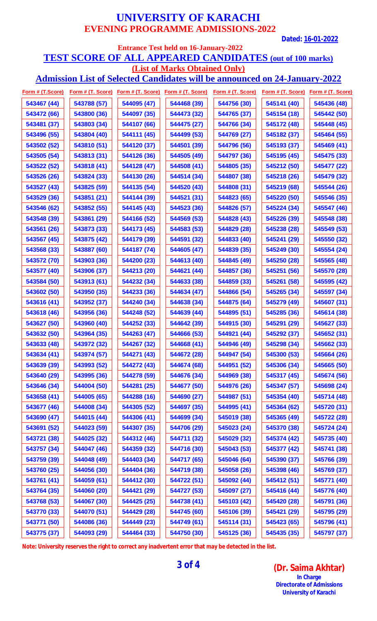**Dated: 16-01-2022**

### **Entrance Test held on 16-January-2022 TEST SCORE OF ALL APPEARED CANDIDATES (out of 100 marks) (List of Marks Obtained Only)**

**Admission List of Selected Candidates will be announced on 24-January-2022**

| Form # (T.Score) | Form # (T. Score) |             | Form # (T. Score) Form # (T. Score) |             | Form # (T. Score) Form # (T. Score) Form # (T. Score) |             |
|------------------|-------------------|-------------|-------------------------------------|-------------|-------------------------------------------------------|-------------|
| 543467 (44)      | 543788 (57)       | 544095 (47) | 544468 (39)                         | 544756 (30) | 545141 (40)                                           | 545436 (48) |
| 543472 (66)      | 543800 (36)       | 544097 (35) | 544473 (32)                         | 544765 (37) | 545154 (18)                                           | 545442 (50) |
| 543481 (37)      | 543803 (34)       | 544107 (66) | 544475 (27)                         | 544766 (34) | 545172 (48)                                           | 545448 (45) |
| 543496 (55)      | 543804 (40)       | 544111 (45) | 544499 (53)                         | 544769 (27) | 545182 (37)                                           | 545464 (55) |
| 543502 (52)      | 543810 (51)       | 544120 (37) | 544501 (39)                         | 544796 (56) | 545193 (37)                                           | 545469 (41) |
| 543505 (54)      | 543813 (31)       | 544126 (36) | 544505 (49)                         | 544797 (36) | 545195 (45)                                           | 545475 (33) |
| 543522 (52)      | 543818 (41)       | 544128 (47) | 544508 (41)                         | 544805 (35) | 545212 (50)                                           | 545477 (22) |
| 543526 (26)      | 543824 (33)       | 544130 (26) | 544514 (34)                         | 544807 (38) | 545218 (26)                                           | 545479 (32) |
| 543527 (43)      | 543825 (59)       | 544135 (54) | 544520 (43)                         | 544808 (31) | 545219 (68)                                           | 545544 (26) |
| 543529 (36)      | 543851 (21)       | 544144 (39) | 544521 (31)                         | 544823 (65) | 545220 (50)                                           | 545546 (35) |
| 543546 (62)      | 543852 (55)       | 544145 (43) | 544523 (36)                         | 544826 (57) | 545224 (34)                                           | 545547 (46) |
| 543548 (39)      | 543861 (29)       | 544166 (52) | 544569 (53)                         | 544828 (43) | 545226 (39)                                           | 545548 (38) |
| 543561 (26)      | 543873 (33)       | 544173 (45) | 544583 (53)                         | 544829 (28) | 545238 (28)                                           | 545549 (53) |
| 543567 (45)      | 543875 (42)       | 544179 (39) | 544591 (32)                         | 544833 (40) | 545241 (29)                                           | 545550 (32) |
| 543568 (33)      | 543887 (60)       | 544187 (74) | 544605 (47)                         | 544839 (35) | 545249 (30)                                           | 545554 (24) |
| 543572 (70)      | 543903 (36)       | 544200 (23) | 544613 (40)                         | 544845 (49) | 545250 (28)                                           | 545565 (48) |
| 543577 (40)      | 543906 (37)       | 544213 (20) | 544621 (44)                         | 544857 (36) | 545251 (56)                                           | 545570 (28) |
| 543584 (50)      | 543913 (61)       | 544232 (34) | 544633 (38)                         | 544859 (33) | 545261 (58)                                           | 545595 (42) |
| 543602 (50)      | 543950 (35)       | 544233 (36) | 544634 (47)                         | 544866 (54) | 545265 (34)                                           | 545597 (34) |
| 543616 (41)      | 543952 (37)       | 544240 (34) | 544638 (34)                         | 544875 (64) | 545279 (49)                                           | 545607 (31) |
| 543618 (46)      | 543956 (36)       | 544248 (52) | 544639 (44)                         | 544895 (51) | 545285 (36)                                           | 545614 (38) |
| 543627 (50)      | 543960 (40)       | 544252 (33) | 544642 (39)                         | 544915 (30) | 545291 (29)                                           | 545627 (33) |
| 543632 (50)      | 543964 (35)       | 544263 (47) | 544666 (53)                         | 544921 (44) | 545292 (37)                                           | 545652 (31) |
| 543633 (48)      | 543972 (32)       | 544267 (32) | 544668 (41)                         | 544946 (49) | 545298 (34)                                           | 545662 (33) |
| 543634 (41)      | 543974 (57)       | 544271 (43) | 544672 (28)                         | 544947 (54) | 545300 (53)                                           | 545664 (26) |
| 543639 (39)      | 543993 (52)       | 544272 (43) | 544674 (68)                         | 544951 (52) | 545306 (34)                                           | 545665 (50) |
| 543640 (29)      | 543995 (36)       | 544278 (59) | 544676 (34)                         | 544969 (38) | 545317 (45)                                           | 545674 (56) |
| 543646 (34)      | 544004 (50)       | 544281 (25) | 544677 (50)                         | 544976 (26) | 545347 (57)                                           | 545698 (24) |
| 543658 (41)      | 544005 (65)       | 544288 (16) | 544690 (27)                         | 544987 (51) | 545354 (40)                                           | 545714 (48) |
| 543677 (46)      | 544008 (34)       | 544305 (52) | 544697 (35)                         | 544995 (41) | 545364 (62)                                           | 545720 (31) |
| 543690 (47)      | 544015 (44)       | 544306 (41) | 544699 (34)                         | 545019 (38) | 545365 (49)                                           | 545722 (28) |
| 543691 (52)      | 544023 (59)       | 544307 (35) | 544706 (29)                         | 545023 (24) | 545370 (38)                                           | 545724 (24) |
| 543721 (38)      | 544025 (32)       | 544312 (46) | 544711 (32)                         | 545029 (32) | 545374 (42)                                           | 545735 (40) |
| 543757 (34)      | 544047 (46)       | 544359 (32) | 544716 (30)                         | 545043 (53) | 545377 (42)                                           | 545741 (38) |
| 543759 (39)      | 544048 (49)       | 544403 (34) | 544717 (65)                         | 545046 (64) | 545390 (37)                                           | 545766 (39) |
| 543760 (25)      | 544056 (30)       | 544404 (36) | 544719 (38)                         | 545058 (26) | 545398 (46)                                           | 545769 (37) |
| 543761 (41)      | 544059 (61)       | 544412 (30) | 544722 (51)                         | 545092 (44) | 545412 (51)                                           | 545771 (40) |
| 543764 (35)      | 544060 (20)       | 544421 (29) | 544727 (53)                         | 545097 (27) | 545416 (44)                                           | 545776 (40) |
| 543768 (53)      | 544067 (30)       | 544425 (25) | 544738 (41)                         | 545103 (42) | 545420 (28)                                           | 545791 (36) |
| 543770 (33)      | 544070 (51)       | 544429 (28) | 544745 (60)                         | 545106 (39) | 545421 (29)                                           | 545795 (29) |
| 543771 (50)      | 544086 (36)       | 544449 (23) | 544749 (61)                         | 545114 (31) | 545423 (65)                                           | 545796 (41) |
| 543775 (37)      | 544093 (29)       | 544464 (33) | 544750 (30)                         | 545125 (36) | 545435 (35)                                           | 545797 (37) |

**Note: University reserves the right to correct any inadvertent error that may be detected in the list.**

**3 of 4 (Dr. Saima Akhtar) In Charge Directorate of Admissions University of Karachi**